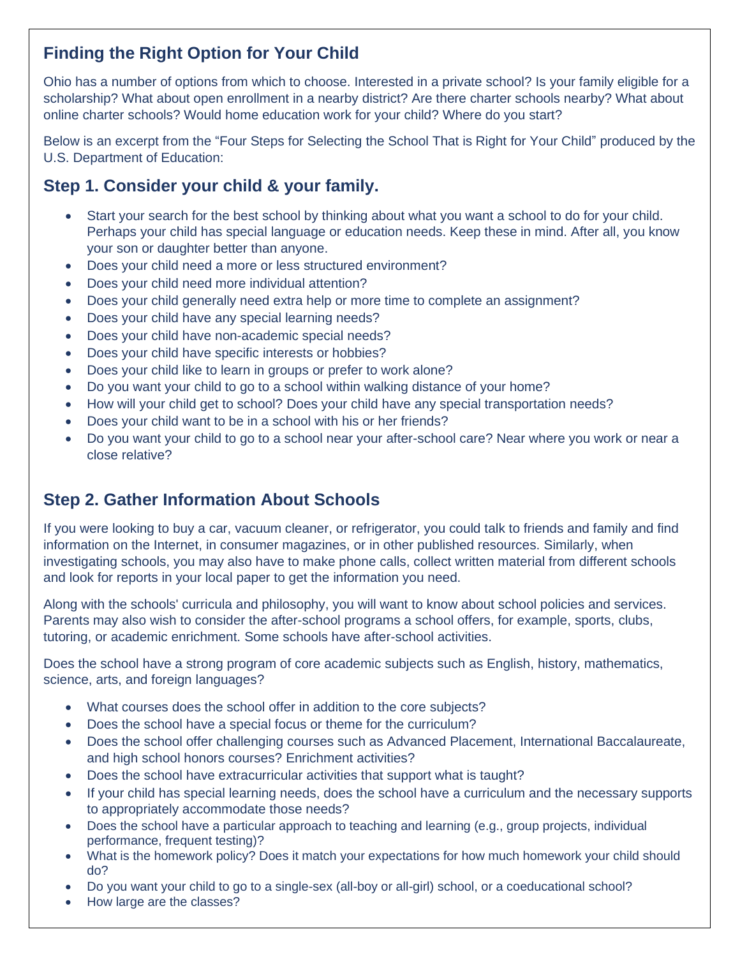# **Finding the Right Option for Your Child**

Ohio has a number of options from which to choose. Interested in a private school? Is your family eligible for a scholarship? What about open enrollment in a nearby district? Are there charter schools nearby? What about online charter schools? Would home education work for your child? Where do you start?

Below is an excerpt from the "Four Steps for Selecting the School That is Right for Your Child" produced by the U.S. Department of Education:

### **Step 1. Consider your child & your family.**

- Start your search for the best school by thinking about what you want a school to do for your child. Perhaps your child has special language or education needs. Keep these in mind. After all, you know your son or daughter better than anyone.
- Does your child need a more or less structured environment?
- Does your child need more individual attention?
- Does your child generally need extra help or more time to complete an assignment?
- Does your child have any special learning needs?
- Does your child have non-academic special needs?
- Does your child have specific interests or hobbies?
- Does your child like to learn in groups or prefer to work alone?
- Do you want your child to go to a school within walking distance of your home?
- How will your child get to school? Does your child have any special transportation needs?
- Does your child want to be in a school with his or her friends?
- Do you want your child to go to a school near your after-school care? Near where you work or near a close relative?

## **Step 2. Gather Information About Schools**

If you were looking to buy a car, vacuum cleaner, or refrigerator, you could talk to friends and family and find information on the Internet, in consumer magazines, or in other published resources. Similarly, when investigating schools, you may also have to make phone calls, collect written material from different schools and look for reports in your local paper to get the information you need.

Along with the schools' curricula and philosophy, you will want to know about school policies and services. Parents may also wish to consider the after-school programs a school offers, for example, sports, clubs, tutoring, or academic enrichment. Some schools have after-school activities.

Does the school have a strong program of core academic subjects such as English, history, mathematics, science, arts, and foreign languages?

- What courses does the school offer in addition to the core subjects?
- Does the school have a special focus or theme for the curriculum?
- Does the school offer challenging courses such as Advanced Placement, International Baccalaureate, and high school honors courses? Enrichment activities?
- Does the school have extracurricular activities that support what is taught?
- If your child has special learning needs, does the school have a curriculum and the necessary supports to appropriately accommodate those needs?
- Does the school have a particular approach to teaching and learning (e.g., group projects, individual performance, frequent testing)?
- What is the homework policy? Does it match your expectations for how much homework your child should do?
- Do you want your child to go to a single-sex (all-boy or all-girl) school, or a coeducational school?
- How large are the classes?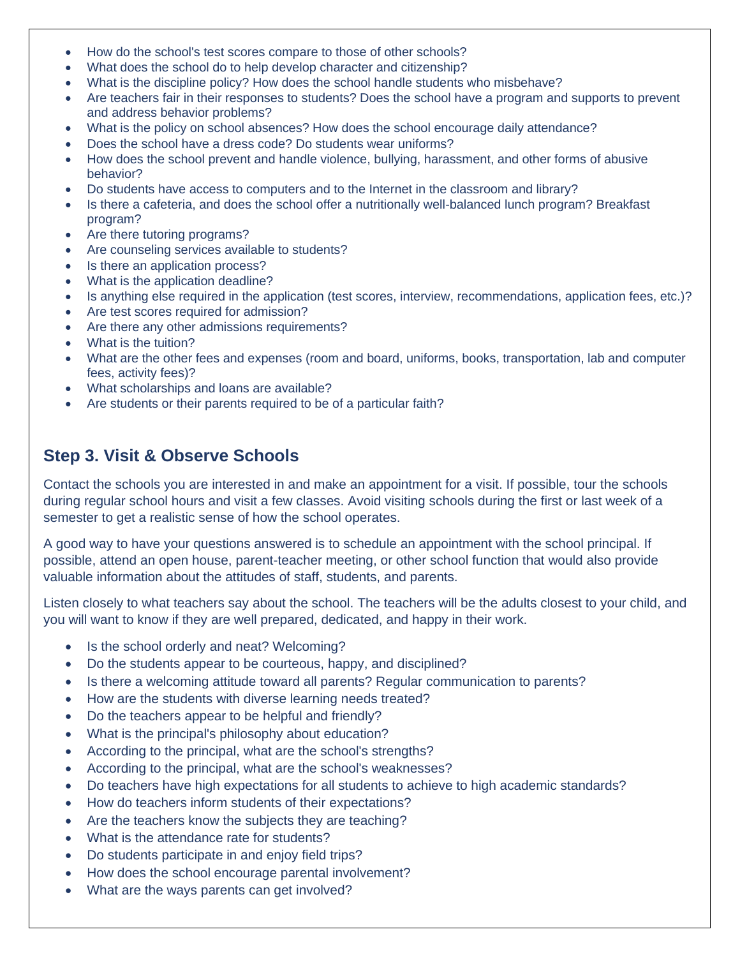- How do the school's test scores compare to those of other schools?
- What does the school do to help develop character and citizenship?
- What is the discipline policy? How does the school handle students who misbehave?
- Are teachers fair in their responses to students? Does the school have a program and supports to prevent and address behavior problems?
- What is the policy on school absences? How does the school encourage daily attendance?
- Does the school have a dress code? Do students wear uniforms?
- How does the school prevent and handle violence, bullying, harassment, and other forms of abusive behavior?
- Do students have access to computers and to the Internet in the classroom and library?
- Is there a cafeteria, and does the school offer a nutritionally well-balanced lunch program? Breakfast program?
- Are there tutoring programs?
- Are counseling services available to students?
- Is there an application process?
- What is the application deadline?
- Is anything else required in the application (test scores, interview, recommendations, application fees, etc.)?
- Are test scores required for admission?
- Are there any other admissions requirements?
- What is the tuition?
- What are the other fees and expenses (room and board, uniforms, books, transportation, lab and computer fees, activity fees)?
- What scholarships and loans are available?
- Are students or their parents required to be of a particular faith?

#### **Step 3. Visit & Observe Schools**

Contact the schools you are interested in and make an appointment for a visit. If possible, tour the schools during regular school hours and visit a few classes. Avoid visiting schools during the first or last week of a semester to get a realistic sense of how the school operates.

A good way to have your questions answered is to schedule an appointment with the school principal. If possible, attend an open house, parent-teacher meeting, or other school function that would also provide valuable information about the attitudes of staff, students, and parents.

Listen closely to what teachers say about the school. The teachers will be the adults closest to your child, and you will want to know if they are well prepared, dedicated, and happy in their work.

- Is the school orderly and neat? Welcoming?
- Do the students appear to be courteous, happy, and disciplined?
- Is there a welcoming attitude toward all parents? Regular communication to parents?
- How are the students with diverse learning needs treated?
- Do the teachers appear to be helpful and friendly?
- What is the principal's philosophy about education?
- According to the principal, what are the school's strengths?
- According to the principal, what are the school's weaknesses?
- Do teachers have high expectations for all students to achieve to high academic standards?
- How do teachers inform students of their expectations?
- Are the teachers know the subjects they are teaching?
- What is the attendance rate for students?
- Do students participate in and enjoy field trips?
- How does the school encourage parental involvement?
- What are the ways parents can get involved?